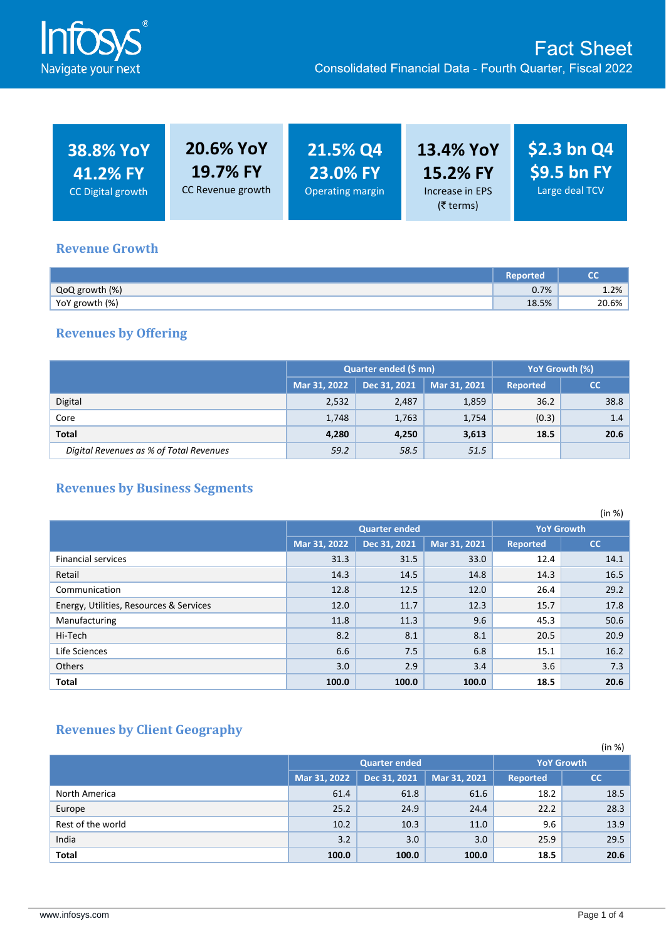

| <b>38.8% YoY</b><br>41.2% FY<br>CC Digital growth | 20.6% YoY<br><b>19.7% FY</b><br>CC Revenue growth | 21.5% Q4<br>23.0% FY<br>Operating margin | <b>13.4% YoY</b><br>15.2% FY<br>Increase in EPS<br>(₹ terms) | $$2.3$ bn Q4<br>$\frac{1}{2}$ S9.5 bn FY<br>Large deal TCV |
|---------------------------------------------------|---------------------------------------------------|------------------------------------------|--------------------------------------------------------------|------------------------------------------------------------|
|---------------------------------------------------|---------------------------------------------------|------------------------------------------|--------------------------------------------------------------|------------------------------------------------------------|

#### **Revenue Growth**

|                | Reported | cc    |
|----------------|----------|-------|
| QoQ growth (%) | 0.7%     | 1.2%  |
| YoY growth (%) | 18.5%    | 20.6% |

## **Revenues by Offering**

|                                         |              | Quarter ended (\$ mn)        | YoY Growth (%) |       |               |
|-----------------------------------------|--------------|------------------------------|----------------|-------|---------------|
|                                         | Mar 31, 2022 | Dec 31, 2021<br>Mar 31, 2021 |                |       | cc            |
| Digital                                 | 2,532        | 2,487                        | 1,859          | 36.2  | 38.8          |
| Core                                    | 1,748        | 1,763                        | 1,754          | (0.3) | $1.4^{\circ}$ |
| Total                                   | 4,280        | 4,250                        | 3,613          | 18.5  | 20.6          |
| Digital Revenues as % of Total Revenues | 59.2         | 58.5                         | 51.5           |       |               |

## **Revenues by Business Segments**

|                                         |              |                      |              |                 | (in %)            |
|-----------------------------------------|--------------|----------------------|--------------|-----------------|-------------------|
|                                         |              | <b>Quarter ended</b> |              |                 | <b>YoY Growth</b> |
|                                         | Mar 31, 2022 | Dec 31, 2021         | Mar 31, 2021 | <b>Reported</b> | cc                |
| <b>Financial services</b>               | 31.3         | 31.5                 | 33.0         | 12.4            | 14.1              |
| Retail                                  | 14.3         | 14.5                 | 14.8         | 14.3            | 16.5              |
| Communication                           | 12.8         | 12.5                 | 12.0         | 26.4            | 29.2              |
| Energy, Utilities, Resources & Services | 12.0         | 11.7                 | 12.3         | 15.7            | 17.8              |
| Manufacturing                           | 11.8         | 11.3                 | 9.6          | 45.3            | 50.6              |
| Hi-Tech                                 | 8.2          | 8.1                  | 8.1          | 20.5            | 20.9              |
| Life Sciences                           | 6.6          | 7.5                  | 6.8          | 15.1            | 16.2              |
| <b>Others</b>                           | 3.0          | 2.9                  | 3.4          | 3.6             | 7.3               |
| Total                                   | 100.0        | 100.0                | 100.0        | 18.5            | 20.6              |

# **Revenues by Client Geography**

|                   |                                                                       |       |       |                   | (in %) |
|-------------------|-----------------------------------------------------------------------|-------|-------|-------------------|--------|
|                   | <b>Quarter ended</b>                                                  |       |       | <b>YoY Growth</b> |        |
|                   | Dec 31, 2021<br>Mar 31, 2022<br>Mar 31, 2021<br><b>Reported</b><br>cc |       |       |                   |        |
| North America     | 61.4                                                                  | 61.8  | 61.6  | 18.2              | 18.5   |
| Europe            | 25.2                                                                  | 24.9  | 24.4  | 22.2              | 28.3   |
| Rest of the world | 10.2                                                                  | 10.3  | 11.0  | 9.6               | 13.9   |
| India             | 3.2                                                                   | 3.0   | 3.0   | 25.9              | 29.5   |
| Total             | 100.0                                                                 | 100.0 | 100.0 | 18.5              | 20.6   |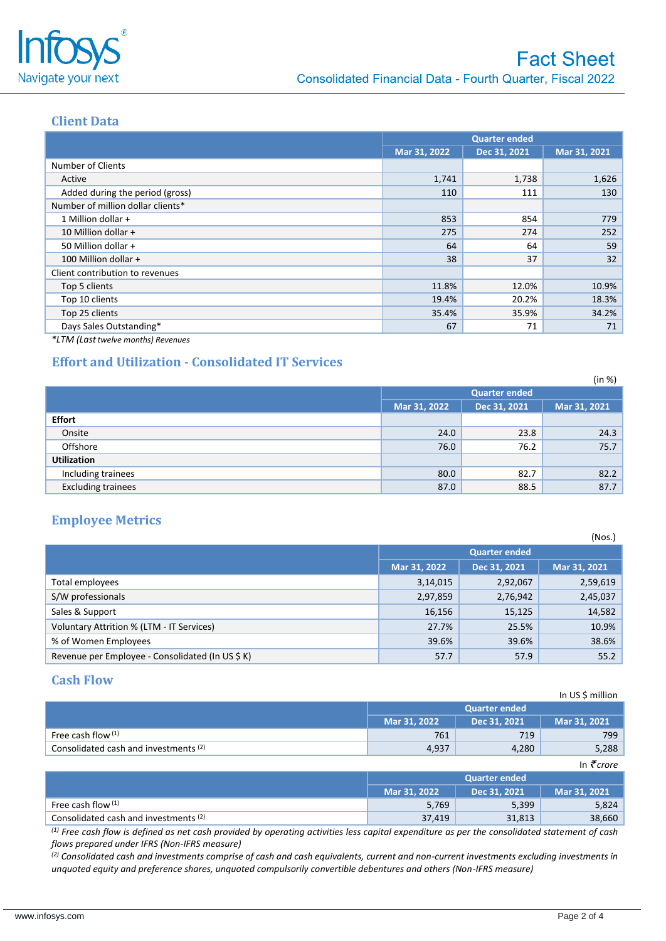

#### **Client Data**

|                                   | <b>Quarter ended</b> |              |              |
|-----------------------------------|----------------------|--------------|--------------|
|                                   | Mar 31, 2022         | Dec 31, 2021 | Mar 31, 2021 |
| <b>Number of Clients</b>          |                      |              |              |
| Active                            | 1,741                | 1,738        | 1,626        |
| Added during the period (gross)   | 110                  | 111          | 130          |
| Number of million dollar clients* |                      |              |              |
| 1 Million dollar +                | 853                  | 854          | 779          |
| 10 Million dollar +               | 275                  | 274          | 252          |
| 50 Million dollar +               | 64                   | 64           | 59           |
| 100 Million dollar +              | 38                   | 37           | 32           |
| Client contribution to revenues   |                      |              |              |
| Top 5 clients                     | 11.8%                | 12.0%        | 10.9%        |
| Top 10 clients                    | 19.4%                | 20.2%        | 18.3%        |
| Top 25 clients                    | 35.4%                | 35.9%        | 34.2%        |
| Days Sales Outstanding*           | 67                   | 71           | 71           |

*\*LTM (Lasttwelve months) Revenues*

## **Effort and Utilization - Consolidated IT Services**

|                           |              |                      | (in %)       |
|---------------------------|--------------|----------------------|--------------|
|                           |              | <b>Quarter ended</b> |              |
|                           | Mar 31, 2022 | Dec 31, 2021         | Mar 31, 2021 |
| <b>Effort</b>             |              |                      |              |
| Onsite                    | 24.0         | 23.8                 | 24.3         |
| Offshore                  | 76.0         | 76.2                 | 75.7         |
| <b>Utilization</b>        |              |                      |              |
| Including trainees        | 80.0         | 82.7                 | 82.2         |
| <b>Excluding trainees</b> | 87.0         | 88.5                 | 87.7         |

#### **Employee Metrics**

|                                                  |                      |              | (Nos.)       |
|--------------------------------------------------|----------------------|--------------|--------------|
|                                                  | <b>Quarter ended</b> |              |              |
|                                                  | Mar 31, 2022         | Dec 31, 2021 | Mar 31, 2021 |
| Total employees                                  | 3,14,015             | 2,92,067     | 2,59,619     |
| S/W professionals                                | 2,97,859             | 2,76,942     | 2,45,037     |
| Sales & Support                                  | 16,156               | 15,125       | 14,582       |
| Voluntary Attrition % (LTM - IT Services)        | 27.7%                | 25.5%        | 10.9%        |
| % of Women Employees                             | 39.6%                | 39.6%        | 38.6%        |
| Revenue per Employee - Consolidated (In US \$ K) | 57.7                 | 57.9         | 55.2         |

### **Cash Flow**

|                                                  |              |                      | In US \$ million |
|--------------------------------------------------|--------------|----------------------|------------------|
|                                                  |              | <b>Quarter ended</b> |                  |
|                                                  | Mar 31, 2022 | Dec 31, 2021         | Mar 31, 2021     |
| Free cash flow (1)                               | 761          | 719                  | 799              |
| Consolidated cash and investments <sup>(2)</sup> | 4,937        | 4,280                | 5,288            |

|                                       |              |                      | In $\vec{\tau}$ crore |
|---------------------------------------|--------------|----------------------|-----------------------|
|                                       |              | <b>Quarter ended</b> |                       |
|                                       | Mar 31, 2022 | Dec 31, 2021         | Mar 31, 2021          |
| Free cash flow $(1)$                  | 5,769        | 5,399                | 5,824                 |
| Consolidated cash and investments (2) | 37,419       | 31,813               | 38,660                |

*(1) Free cash flow is defined as net cash provided by operating activities less capital expenditure as per the consolidated statement of cash flows prepared under IFRS (Non-IFRS measure)*

*(2) Consolidated cash and investments comprise of cash and cash equivalents, current and non-current investments excluding investments in unquoted equity and preference shares, unquoted compulsorily convertible debentures and others (Non-IFRS measure)*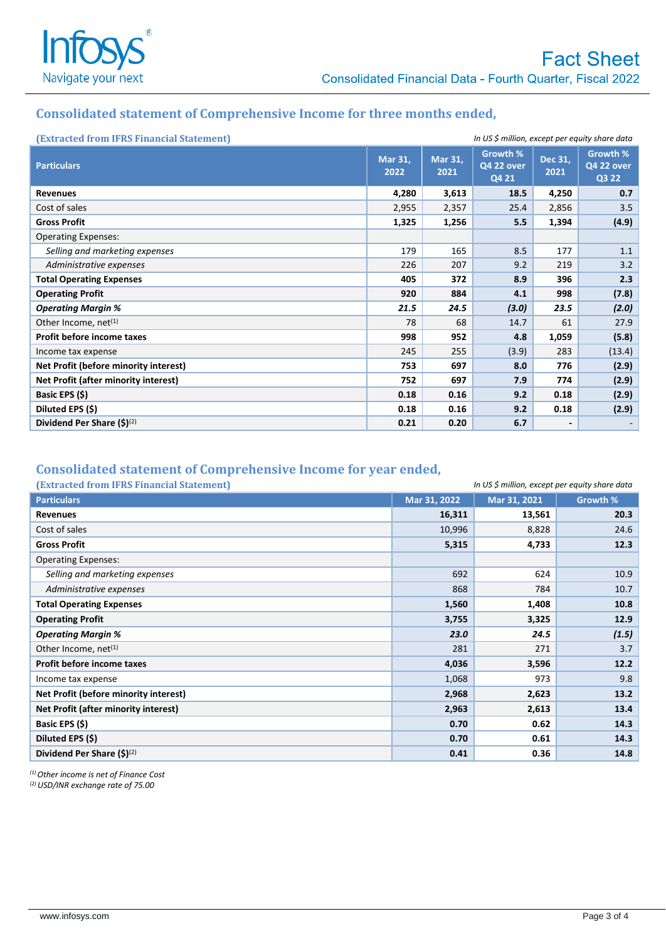

## **Consolidated statement of Comprehensive Income for three months ended,**

| (Extracted from IFRS Financial Statement) | In US \$ million, except per equity share data |                 |                                        |                          |                                        |
|-------------------------------------------|------------------------------------------------|-----------------|----------------------------------------|--------------------------|----------------------------------------|
| <b>Particulars</b>                        | Mar 31,<br>2022                                | Mar 31,<br>2021 | Growth %<br><b>Q4 22 over</b><br>Q4 21 | Dec 31.<br>2021          | Growth %<br><b>Q4 22 over</b><br>Q3 22 |
| <b>Revenues</b>                           | 4,280                                          | 3,613           | 18.5                                   | 4,250                    | 0.7                                    |
| Cost of sales                             | 2,955                                          | 2,357           | 25.4                                   | 2,856                    | 3.5                                    |
| <b>Gross Profit</b>                       | 1,325                                          | 1,256           | 5.5                                    | 1,394                    | (4.9)                                  |
| <b>Operating Expenses:</b>                |                                                |                 |                                        |                          |                                        |
| Selling and marketing expenses            | 179                                            | 165             | 8.5                                    | 177                      | 1.1                                    |
| Administrative expenses                   | 226                                            | 207             | 9.2                                    | 219                      | 3.2                                    |
| <b>Total Operating Expenses</b>           | 405                                            | 372             | 8.9                                    | 396                      | 2.3                                    |
| <b>Operating Profit</b>                   | 920                                            | 884             | 4.1                                    | 998                      | (7.8)                                  |
| <b>Operating Margin %</b>                 | 21.5                                           | 24.5            | (3.0)                                  | 23.5                     | (2.0)                                  |
| Other Income, net $(1)$                   | 78                                             | 68              | 14.7                                   | 61                       | 27.9                                   |
| Profit before income taxes                | 998                                            | 952             | 4.8                                    | 1,059                    | (5.8)                                  |
| Income tax expense                        | 245                                            | 255             | (3.9)                                  | 283                      | (13.4)                                 |
| Net Profit (before minority interest)     | 753                                            | 697             | 8.0                                    | 776                      | (2.9)                                  |
| Net Profit (after minority interest)      | 752                                            | 697             | 7.9                                    | 774                      | (2.9)                                  |
| Basic EPS (\$)                            | 0.18                                           | 0.16            | 9.2                                    | 0.18                     | (2.9)                                  |
| Diluted EPS (\$)                          | 0.18                                           | 0.16            | 9.2                                    | 0.18                     | (2.9)                                  |
| Dividend Per Share $(5)^{(2)}$            | 0.21                                           | 0.20            | 6.7                                    | $\overline{\phantom{0}}$ |                                        |

## **Consolidated statement of Comprehensive Income for year ended,**

| (Extracted from IFRS Financial Statement) |  |  |
|-------------------------------------------|--|--|
|                                           |  |  |

| (Extracted from IFRS Financial Statement) | In US \$ million, except per equity share data |              |          |
|-------------------------------------------|------------------------------------------------|--------------|----------|
| <b>Particulars</b>                        | Mar 31, 2022                                   | Mar 31, 2021 | Growth % |
| <b>Revenues</b>                           | 16,311                                         | 13,561       | 20.3     |
| Cost of sales                             | 10,996                                         | 8,828        | 24.6     |
| <b>Gross Profit</b>                       | 5,315                                          | 4,733        | 12.3     |
| <b>Operating Expenses:</b>                |                                                |              |          |
| Selling and marketing expenses            | 692                                            | 624          | 10.9     |
| Administrative expenses                   | 868                                            | 784          | 10.7     |
| <b>Total Operating Expenses</b>           | 1,560                                          | 1,408        | 10.8     |
| <b>Operating Profit</b>                   | 3,755                                          | 3,325        | 12.9     |
| <b>Operating Margin %</b>                 | 23.0                                           | 24.5         | (1.5)    |
| Other Income, net <sup>(1)</sup>          | 281                                            | 271          | 3.7      |
| Profit before income taxes                | 4,036                                          | 3,596        | 12.2     |
| Income tax expense                        | 1,068                                          | 973          | 9.8      |
| Net Profit (before minority interest)     | 2,968                                          | 2,623        | 13.2     |
| Net Profit (after minority interest)      | 2,963                                          | 2,613        | 13.4     |
| Basic EPS (\$)                            | 0.70                                           | 0.62         | 14.3     |
| Diluted EPS (\$)                          | 0.70                                           | 0.61         | 14.3     |
| Dividend Per Share $(5)^{(2)}$            | 0.41                                           | 0.36         | 14.8     |

*(1) Other income is net of Finance Cost*

*(2) USD/INR exchange rate of 75.00*